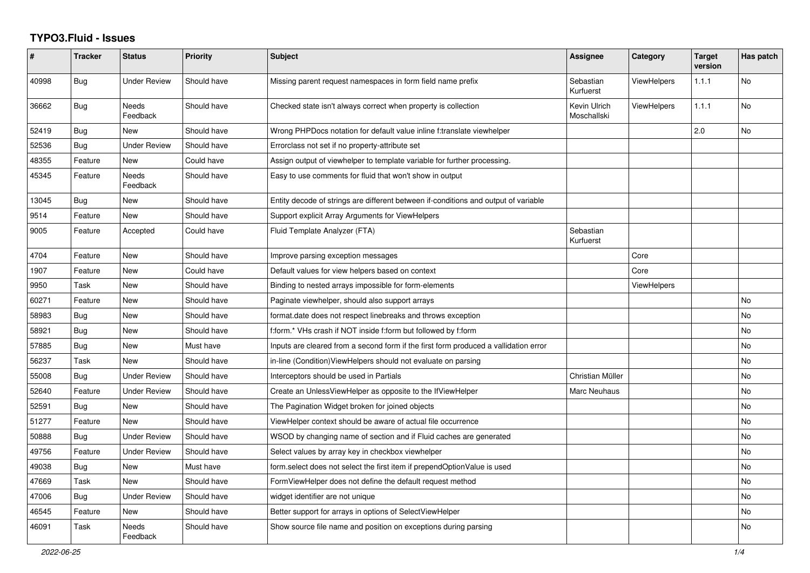## **TYPO3.Fluid - Issues**

| $\#$  | <b>Tracker</b> | <b>Status</b>            | <b>Priority</b> | <b>Subject</b>                                                                       | Assignee                    | Category           | <b>Target</b><br>version | Has patch |
|-------|----------------|--------------------------|-----------------|--------------------------------------------------------------------------------------|-----------------------------|--------------------|--------------------------|-----------|
| 40998 | Bug            | Under Review             | Should have     | Missing parent request namespaces in form field name prefix                          | Sebastian<br>Kurfuerst      | <b>ViewHelpers</b> | 1.1.1                    | <b>No</b> |
| 36662 | <b>Bug</b>     | Needs<br>Feedback        | Should have     | Checked state isn't always correct when property is collection                       | Kevin Ulrich<br>Moschallski | <b>ViewHelpers</b> | 1.1.1                    | <b>No</b> |
| 52419 | <b>Bug</b>     | New                      | Should have     | Wrong PHPDocs notation for default value inline f:translate viewhelper               |                             |                    | 2.0                      | <b>No</b> |
| 52536 | <b>Bug</b>     | <b>Under Review</b>      | Should have     | Errorclass not set if no property-attribute set                                      |                             |                    |                          |           |
| 48355 | Feature        | New                      | Could have      | Assign output of viewhelper to template variable for further processing.             |                             |                    |                          |           |
| 45345 | Feature        | <b>Needs</b><br>Feedback | Should have     | Easy to use comments for fluid that won't show in output                             |                             |                    |                          |           |
| 13045 | <b>Bug</b>     | New                      | Should have     | Entity decode of strings are different between if-conditions and output of variable  |                             |                    |                          |           |
| 9514  | Feature        | <b>New</b>               | Should have     | Support explicit Array Arguments for ViewHelpers                                     |                             |                    |                          |           |
| 9005  | Feature        | Accepted                 | Could have      | Fluid Template Analyzer (FTA)                                                        | Sebastian<br>Kurfuerst      |                    |                          |           |
| 4704  | Feature        | New                      | Should have     | Improve parsing exception messages                                                   |                             | Core               |                          |           |
| 1907  | Feature        | New                      | Could have      | Default values for view helpers based on context                                     |                             | Core               |                          |           |
| 9950  | Task           | New                      | Should have     | Binding to nested arrays impossible for form-elements                                |                             | ViewHelpers        |                          |           |
| 60271 | Feature        | New                      | Should have     | Paginate viewhelper, should also support arrays                                      |                             |                    |                          | No        |
| 58983 | Bug            | New                      | Should have     | format.date does not respect linebreaks and throws exception                         |                             |                    |                          | No        |
| 58921 | Bug            | New                      | Should have     | f:form.* VHs crash if NOT inside f:form but followed by f:form                       |                             |                    |                          | <b>No</b> |
| 57885 | Bug            | <b>New</b>               | Must have       | Inputs are cleared from a second form if the first form produced a vallidation error |                             |                    |                          | <b>No</b> |
| 56237 | Task           | New                      | Should have     | in-line (Condition)ViewHelpers should not evaluate on parsing                        |                             |                    |                          | <b>No</b> |
| 55008 | <b>Bug</b>     | <b>Under Review</b>      | Should have     | Interceptors should be used in Partials                                              | Christian Müller            |                    |                          | <b>No</b> |
| 52640 | Feature        | Under Review             | Should have     | Create an UnlessViewHelper as opposite to the IfViewHelper                           | Marc Neuhaus                |                    |                          | No        |
| 52591 | Bug            | New                      | Should have     | The Pagination Widget broken for joined objects                                      |                             |                    |                          | No        |
| 51277 | Feature        | <b>New</b>               | Should have     | ViewHelper context should be aware of actual file occurrence                         |                             |                    |                          | No        |
| 50888 | <b>Bug</b>     | <b>Under Review</b>      | Should have     | WSOD by changing name of section and if Fluid caches are generated                   |                             |                    |                          | <b>No</b> |
| 49756 | Feature        | <b>Under Review</b>      | Should have     | Select values by array key in checkbox viewhelper                                    |                             |                    |                          | <b>No</b> |
| 49038 | Bug            | New                      | Must have       | form.select does not select the first item if prependOptionValue is used             |                             |                    |                          | <b>No</b> |
| 47669 | Task           | <b>New</b>               | Should have     | FormViewHelper does not define the default request method                            |                             |                    |                          | <b>No</b> |
| 47006 | Bug            | Under Review             | Should have     | widget identifier are not unique                                                     |                             |                    |                          | No        |
| 46545 | Feature        | New                      | Should have     | Better support for arrays in options of SelectViewHelper                             |                             |                    |                          | No        |
| 46091 | Task           | Needs<br>Feedback        | Should have     | Show source file name and position on exceptions during parsing                      |                             |                    |                          | No        |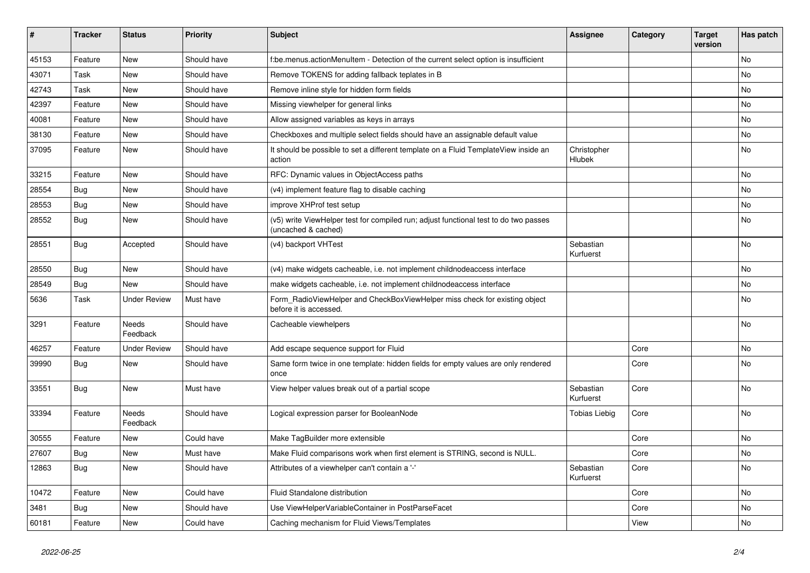| $\vert$ # | <b>Tracker</b> | <b>Status</b>       | <b>Priority</b> | <b>Subject</b>                                                                                              | Assignee               | Category | <b>Target</b><br>version | Has patch |
|-----------|----------------|---------------------|-----------------|-------------------------------------------------------------------------------------------------------------|------------------------|----------|--------------------------|-----------|
| 45153     | Feature        | <b>New</b>          | Should have     | f:be.menus.actionMenuItem - Detection of the current select option is insufficient                          |                        |          |                          | <b>No</b> |
| 43071     | Task           | New                 | Should have     | Remove TOKENS for adding fallback teplates in B                                                             |                        |          |                          | <b>No</b> |
| 42743     | Task           | New                 | Should have     | Remove inline style for hidden form fields                                                                  |                        |          |                          | <b>No</b> |
| 42397     | Feature        | New                 | Should have     | Missing viewhelper for general links                                                                        |                        |          |                          | <b>No</b> |
| 40081     | Feature        | <b>New</b>          | Should have     | Allow assigned variables as keys in arrays                                                                  |                        |          |                          | <b>No</b> |
| 38130     | Feature        | New                 | Should have     | Checkboxes and multiple select fields should have an assignable default value                               |                        |          |                          | No        |
| 37095     | Feature        | <b>New</b>          | Should have     | It should be possible to set a different template on a Fluid TemplateView inside an<br>action               | Christopher<br>Hlubek  |          |                          | No        |
| 33215     | Feature        | New                 | Should have     | RFC: Dynamic values in ObjectAccess paths                                                                   |                        |          |                          | No        |
| 28554     | Bug            | New                 | Should have     | (v4) implement feature flag to disable caching                                                              |                        |          |                          | No        |
| 28553     | <b>Bug</b>     | New                 | Should have     | improve XHProf test setup                                                                                   |                        |          |                          | No        |
| 28552     | Bug            | New                 | Should have     | (v5) write ViewHelper test for compiled run; adjust functional test to do two passes<br>(uncached & cached) |                        |          |                          | <b>No</b> |
| 28551     | <b>Bug</b>     | Accepted            | Should have     | (v4) backport VHTest                                                                                        | Sebastian<br>Kurfuerst |          |                          | No        |
| 28550     | Bug            | New                 | Should have     | (v4) make widgets cacheable, i.e. not implement childnodeaccess interface                                   |                        |          |                          | <b>No</b> |
| 28549     | <b>Bug</b>     | <b>New</b>          | Should have     | make widgets cacheable, i.e. not implement childnodeaccess interface                                        |                        |          |                          | No        |
| 5636      | Task           | <b>Under Review</b> | Must have       | Form_RadioViewHelper and CheckBoxViewHelper miss check for existing object<br>before it is accessed.        |                        |          |                          | No        |
| 3291      | Feature        | Needs<br>Feedback   | Should have     | Cacheable viewhelpers                                                                                       |                        |          |                          | <b>No</b> |
| 46257     | Feature        | <b>Under Review</b> | Should have     | Add escape sequence support for Fluid                                                                       |                        | Core     |                          | <b>No</b> |
| 39990     | <b>Bug</b>     | New                 | Should have     | Same form twice in one template: hidden fields for empty values are only rendered<br>once                   |                        | Core     |                          | <b>No</b> |
| 33551     | <b>Bug</b>     | <b>New</b>          | Must have       | View helper values break out of a partial scope                                                             | Sebastian<br>Kurfuerst | Core     |                          | <b>No</b> |
| 33394     | Feature        | Needs<br>Feedback   | Should have     | Logical expression parser for BooleanNode                                                                   | Tobias Liebig          | Core     |                          | No        |
| 30555     | Feature        | New                 | Could have      | Make TagBuilder more extensible                                                                             |                        | Core     |                          | <b>No</b> |
| 27607     | Bug            | New                 | Must have       | Make Fluid comparisons work when first element is STRING, second is NULL.                                   |                        | Core     |                          | <b>No</b> |
| 12863     | Bug            | New                 | Should have     | Attributes of a viewhelper can't contain a '-'                                                              | Sebastian<br>Kurfuerst | Core     |                          | <b>No</b> |
| 10472     | Feature        | New                 | Could have      | Fluid Standalone distribution                                                                               |                        | Core     |                          | <b>No</b> |
| 3481      | Bug            | <b>New</b>          | Should have     | Use ViewHelperVariableContainer in PostParseFacet                                                           |                        | Core     |                          | <b>No</b> |
| 60181     | Feature        | New                 | Could have      | Caching mechanism for Fluid Views/Templates                                                                 |                        | View     |                          | <b>No</b> |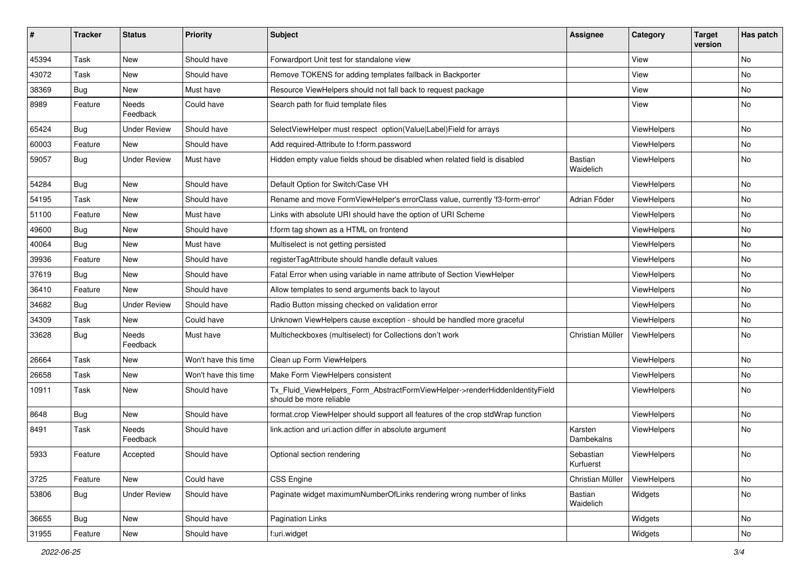| $\vert$ # | <b>Tracker</b> | <b>Status</b>            | <b>Priority</b>      | <b>Subject</b>                                                                                         | <b>Assignee</b>        | Category    | <b>Target</b><br>version | Has patch |
|-----------|----------------|--------------------------|----------------------|--------------------------------------------------------------------------------------------------------|------------------------|-------------|--------------------------|-----------|
| 45394     | Task           | <b>New</b>               | Should have          | Forwardport Unit test for standalone view                                                              |                        | View        |                          | <b>No</b> |
| 43072     | Task           | New                      | Should have          | Remove TOKENS for adding templates fallback in Backporter                                              |                        | View        |                          | No        |
| 38369     | Bug            | New                      | Must have            | Resource ViewHelpers should not fall back to request package                                           |                        | View        |                          | No        |
| 8989      | Feature        | Needs<br>Feedback        | Could have           | Search path for fluid template files                                                                   |                        | View        |                          | No        |
| 65424     | Bug            | <b>Under Review</b>      | Should have          | SelectViewHelper must respect option(Value Label)Field for arrays                                      |                        | ViewHelpers |                          | No        |
| 60003     | Feature        | New                      | Should have          | Add required-Attribute to f:form.password                                                              |                        | ViewHelpers |                          | No        |
| 59057     | Bug            | <b>Under Review</b>      | Must have            | Hidden empty value fields shoud be disabled when related field is disabled                             | Bastian<br>Waidelich   | ViewHelpers |                          | No        |
| 54284     | Bug            | New                      | Should have          | Default Option for Switch/Case VH                                                                      |                        | ViewHelpers |                          | No        |
| 54195     | Task           | New                      | Should have          | Rename and move FormViewHelper's errorClass value, currently 'f3-form-error'                           | Adrian Föder           | ViewHelpers |                          | No.       |
| 51100     | Feature        | New                      | Must have            | Links with absolute URI should have the option of URI Scheme                                           |                        | ViewHelpers |                          | No        |
| 49600     | Bug            | New                      | Should have          | f:form tag shown as a HTML on frontend                                                                 |                        | ViewHelpers |                          | No        |
| 40064     | Bug            | New                      | Must have            | Multiselect is not getting persisted                                                                   |                        | ViewHelpers |                          | No        |
| 39936     | Feature        | New                      | Should have          | registerTagAttribute should handle default values                                                      |                        | ViewHelpers |                          | No        |
| 37619     | Bug            | New                      | Should have          | Fatal Error when using variable in name attribute of Section ViewHelper                                |                        | ViewHelpers |                          | No        |
| 36410     | Feature        | <b>New</b>               | Should have          | Allow templates to send arguments back to layout                                                       |                        | ViewHelpers |                          | No        |
| 34682     | Bug            | <b>Under Review</b>      | Should have          | Radio Button missing checked on validation error                                                       |                        | ViewHelpers |                          | No        |
| 34309     | Task           | <b>New</b>               | Could have           | Unknown ViewHelpers cause exception - should be handled more graceful                                  |                        | ViewHelpers |                          | No        |
| 33628     | Bug            | Needs<br>Feedback        | Must have            | Multicheckboxes (multiselect) for Collections don't work                                               | Christian Müller       | ViewHelpers |                          | No        |
| 26664     | Task           | New                      | Won't have this time | Clean up Form ViewHelpers                                                                              |                        | ViewHelpers |                          | No        |
| 26658     | Task           | New                      | Won't have this time | Make Form ViewHelpers consistent                                                                       |                        | ViewHelpers |                          | No        |
| 10911     | Task           | New                      | Should have          | Tx_Fluid_ViewHelpers_Form_AbstractFormViewHelper->renderHiddenIdentityField<br>should be more reliable |                        | ViewHelpers |                          | No        |
| 8648      | Bug            | New                      | Should have          | format.crop ViewHelper should support all features of the crop stdWrap function                        |                        | ViewHelpers |                          | No        |
| 8491      | Task           | <b>Needs</b><br>Feedback | Should have          | link.action and uri.action differ in absolute argument                                                 | Karsten<br>Dambekalns  | ViewHelpers |                          | No        |
| 5933      | Feature        | Accepted                 | Should have          | Optional section rendering                                                                             | Sebastian<br>Kurfuerst | ViewHelpers |                          | No        |
| 3725      | Feature        | New                      | Could have           | CSS Engine                                                                                             | Christian Müller       | ViewHelpers |                          | No        |
| 53806     | <b>Bug</b>     | <b>Under Review</b>      | Should have          | Paginate widget maximumNumberOfLinks rendering wrong number of links                                   | Bastian<br>Waidelich   | Widgets     |                          | No        |
| 36655     | <b>Bug</b>     | New                      | Should have          | Pagination Links                                                                                       |                        | Widgets     |                          | No        |
| 31955     | Feature        | New                      | Should have          | f:uri.widget                                                                                           |                        | Widgets     |                          | No        |